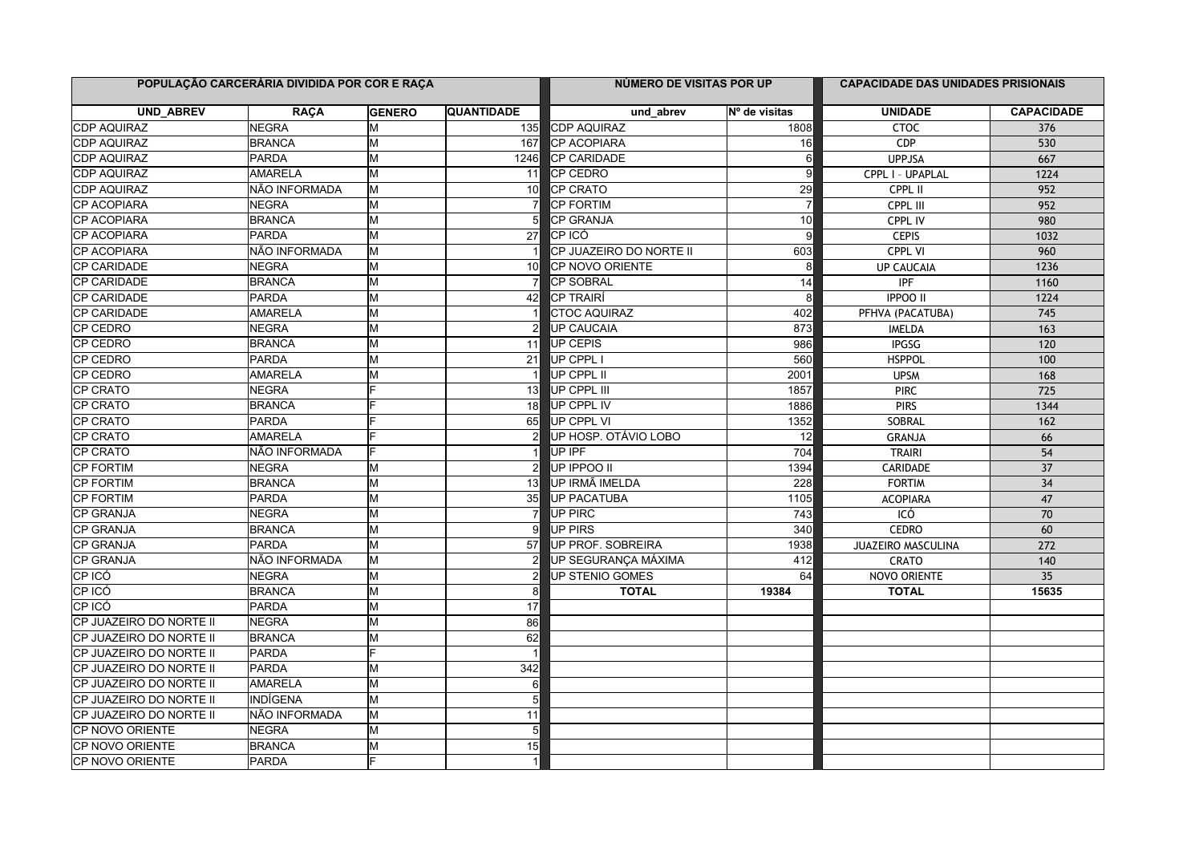| POPULAÇÃO CARCERÁRIA DIVIDIDA POR COR E RAÇA |                |               |                   | NÚMERO DE VISITAS POR UP |                 | <b>CAPACIDADE DAS UNIDADES PRISIONAIS</b> |                   |
|----------------------------------------------|----------------|---------------|-------------------|--------------------------|-----------------|-------------------------------------------|-------------------|
| UND_ABREV                                    | <b>RAÇA</b>    | <b>GENERO</b> | <b>QUANTIDADE</b> | und_abrev                | Nº de visitas   | <b>UNIDADE</b>                            | <b>CAPACIDADE</b> |
| <b>CDP AQUIRAZ</b>                           | <b>NEGRA</b>   | lм            | 135l              | <b>CDP AQUIRAZ</b>       | 1808            | CTOC                                      | 376               |
| CDP AQUIRAZ                                  | <b>BRANCA</b>  | lм            | 167               | <b>CP ACOPIARA</b>       | 16              | CDP                                       | 530               |
| <b>CDP AQUIRAZ</b>                           | <b>PARDA</b>   | lм            | 1246              | <b>CP CARIDADE</b>       | 6               | <b>UPPJSA</b>                             | 667               |
| <b>CDP AQUIRAZ</b>                           | AMARELA        | lм            | 11                | CP CEDRO                 |                 | CPPL I - UPAPLAL                          | 1224              |
| <b>CDP AQUIRAZ</b>                           | NÃO INFORMADA  | lм            | 10I               | <b>CP CRATO</b>          | 29              | CPPL II                                   | 952               |
| <b>CP ACOPIARA</b>                           | <b>NEGRA</b>   | lм            |                   | <b>CP FORTIM</b>         |                 | CPPL III                                  | 952               |
| CP ACOPIARA                                  | <b>BRANCA</b>  | lм            | 5                 | <b>CP GRANJA</b>         | 10              | CPPL IV                                   | 980               |
| CP ACOPIARA                                  | PARDA          | lм            | 27                | ICP ICÓ                  | 9               | <b>CEPIS</b>                              | 1032              |
| CP ACOPIARA                                  | NÃO INFORMADA  | lм            |                   | CP JUAZEIRO DO NORTE II  | 603             | <b>CPPL VI</b>                            | 960               |
| <b>CP CARIDADE</b>                           | <b>NEGRA</b>   | lм            | 10                | <b>CP NOVO ORIENTE</b>   | 8               | <b>UP CAUCAIA</b>                         | 1236              |
| <b>CP CARIDADE</b>                           | <b>BRANCA</b>  | lм            | 7                 | <b>ICP SOBRAL</b>        | 14              | <b>IPF</b>                                | 1160              |
| <b>CP CARIDADE</b>                           | <b>PARDA</b>   | M             | 42                | <b>CP TRAIRÍ</b>         | 8               | <b>IPPOO II</b>                           | 1224              |
| CP CARIDADE                                  | <b>AMARELA</b> | lм            |                   | <b>CTOC AQUIRAZ</b>      | 402             | PFHVA (PACATUBA)                          | 745               |
| <b>CP CEDRO</b>                              | <b>NEGRA</b>   | lм            | $\overline{2}$    | <b>UP CAUCAIA</b>        | 873             | <b>IMELDA</b>                             | 163               |
| CP CEDRO                                     | <b>BRANCA</b>  | M             | 11                | UP CEPIS                 | 986             | <b>IPGSG</b>                              | $\overline{120}$  |
| CP CEDRO                                     | PARDA          | lм            | 21                | UP CPPL I                | 560             | <b>HSPPOL</b>                             | 100               |
| CP CEDRO                                     | <b>AMARELA</b> | M             |                   | UP CPPL II               | 2001            | <b>UPSM</b>                               | 168               |
| CP CRATO                                     | <b>NEGRA</b>   |               | 13                | UP CPPL III              | 1857            | <b>PIRC</b>                               | 725               |
| <b>CP CRATO</b>                              | <b>BRANCA</b>  |               | 18 <sup>1</sup>   | UP CPPL IV               | 1886            | <b>PIRS</b>                               | 1344              |
| ICP CRATO                                    | PARDA          |               | 65                | UP CPPL VI               | 1352            | SOBRAL                                    | 162               |
| CP CRATO                                     | <b>AMARELA</b> |               |                   | UP HOSP. OTÁVIO LOBO     | $\overline{12}$ | <b>GRANJA</b>                             | 66                |
| CP CRATO                                     | NÃO INFORMADA  |               |                   | UP IPF                   | 704             | <b>TRAIRI</b>                             | $\overline{54}$   |
| <b>CP FORTIM</b>                             | <b>NEGRA</b>   | lМ            |                   | lup ippoo ii             | 1394            | <b>CARIDADE</b>                           | $\overline{37}$   |
| <b>CP FORTIM</b>                             | <b>BRANCA</b>  | M             | 13                | UP IRMÃ IMELDA           | 228             | <b>FORTIM</b>                             | 34                |
| <b>CP FORTIM</b>                             | PARDA          | M             | 35                | UP PACATUBA              | 1105            | <b>ACOPIARA</b>                           | 47                |
| ICP GRANJA                                   | <b>NEGRA</b>   | lм            |                   | <b>UP PIRC</b>           | 743             | ICÓ                                       | 70                |
| CP GRANJA                                    | <b>BRANCA</b>  | M             | 9                 | <b>UP PIRS</b>           | 340             | <b>CEDRO</b>                              | 60                |
| CP GRANJA                                    | PARDA          | lм            | 57                | UP PROF. SOBREIRA        | 1938            | JUAZEIRO MASCULINA                        | 272               |
| <b>CP GRANJA</b>                             | NÃO INFORMADA  | lм            |                   | UP SEGURANÇA MÁXIMA      | 412             | CRATO                                     | 140               |
| CP ICÓ                                       | <b>NEGRA</b>   | lм            |                   | <b>UP STENIO GOMES</b>   | 64              | NOVO ORIENTE                              | $\overline{35}$   |
| CP ICÓ                                       | <b>BRANCA</b>  | M             | 8                 | <b>TOTAL</b>             | 19384           | <b>TOTAL</b>                              | 15635             |
| CP ICÓ                                       | PARDA          | lм            | 17                |                          |                 |                                           |                   |
| CP JUAZEIRO DO NORTE II                      | <b>NEGRA</b>   | lм            | 86                |                          |                 |                                           |                   |
| CP JUAZEIRO DO NORTE II                      | <b>BRANCA</b>  | M             | 62                |                          |                 |                                           |                   |
| ICP JUAZEIRO DO NORTE II                     | <b>PARDA</b>   | E             |                   |                          |                 |                                           |                   |
| CP JUAZEIRO DO NORTE II                      | PARDA          | M             | 342               |                          |                 |                                           |                   |
| ICP JUAZEIRO DO NORTE II                     | <b>AMARELA</b> | lм            | 6                 |                          |                 |                                           |                   |
| CP JUAZEIRO DO NORTE II                      | INDÍGENA       | lм            | 5                 |                          |                 |                                           |                   |
| CP JUAZEIRO DO NORTE II                      | NÃO INFORMADA  | lм            | 11                |                          |                 |                                           |                   |
| CP NOVO ORIENTE                              | <b>NEGRA</b>   | lм            | $\overline{5}$    |                          |                 |                                           |                   |
| <b>CP NOVO ORIENTE</b>                       | <b>BRANCA</b>  | M             | 15                |                          |                 |                                           |                   |
| CP NOVO ORIENTE                              | <b>PARDA</b>   |               | $\mathbf 1$       |                          |                 |                                           |                   |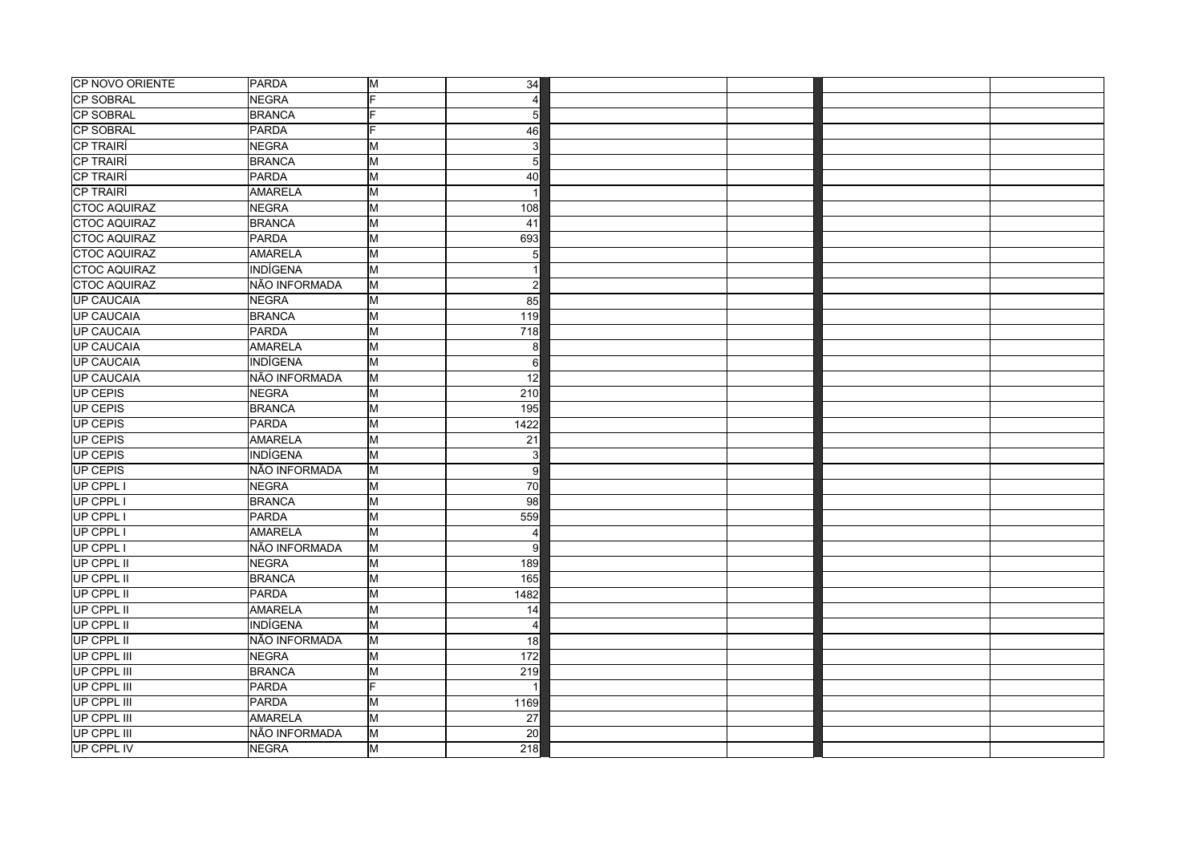| <b>CP SOBRAL</b><br><b>NEGRA</b><br>E<br>$\Delta$<br><b>CP SOBRAL</b><br><b>BRANCA</b><br>5<br>CP SOBRAL<br><b>PARDA</b><br>E<br>46<br>CP TRAIRÍ<br>NEGRA<br>3<br>lм<br><b>CP TRAIRÍ</b><br><b>BRANCA</b><br>lм<br>5<br>CP TRAIRÍ<br><b>PARDA</b><br>M<br>40<br>CP TRAIRÍ<br>AMARELA<br>lм<br><b>CTOC AQUIRAZ</b><br><b>NEGRA</b><br>M<br>108<br><b>BRANCA</b><br>M<br><b>CTOC AQUIRAZ</b><br>41<br>PARDA<br>M<br>693<br><b>CTOC AQUIRAZ</b><br>AMARELA<br>lм<br>5<br><b>INDÍGENA</b><br>M<br><b>CTOC AQUIRAZ</b><br>NÃO INFORMADA<br>M<br><b>CTOC AQUIRAZ</b><br>$\overline{2}$<br><b>UP CAUCAIA</b><br><b>NEGRA</b><br>lм<br>85<br><b>UP CAUCAIA</b><br><b>BRANCA</b><br>lм<br>119<br><b>UP CAUCAIA</b><br><b>PARDA</b><br>M<br>718<br><b>UP CAUCAIA</b><br>AMARELA<br>lм<br>8<br><b>UP CAUCAIA</b><br><b>INDÍGENA</b><br>lм<br>6<br><b>UP CAUCAIA</b><br>NÃO INFORMADA<br>lм<br>12<br>UP CEPIS<br><b>NEGRA</b><br>M<br>210<br>UP CEPIS<br><b>BRANCA</b><br>lм<br>195<br><b>UP CEPIS</b><br>PARDA<br>M<br>1422<br>UP CEPIS<br>AMARELA<br>M<br>$\overline{21}$<br>UP CEPIS<br>INDÍGENA<br>lм<br>3<br>UP CEPIS<br>NÃO INFORMADA<br>lм<br>9<br>UP CPPL I<br><b>NEGRA</b><br>M<br>70<br>UP CPPL I<br>M<br>98<br><b>BRANCA</b><br>UP CPPL<br>PARDA<br>M<br>559<br>UP CPPL I<br><b>AMARELA</b><br>lм<br>$\overline{4}$<br>NÃO INFORMADA<br>UP CPPL I<br>lм<br>9<br>UP CPPL II<br>NEGRA<br>lм<br>189<br>UP CPPL II<br><b>BRANCA</b><br>lм<br>165<br>UP CPPL II<br>PARDA<br>lм<br>1482<br>UP CPPL II<br>AMARELA<br>lм<br>14<br><b>UP CPPL II</b><br><b>INDÍGENA</b><br>lм<br>$\overline{4}$<br>NÃO INFORMADA<br>UP CPPL II<br>lм<br>18<br>UP CPPL III<br><b>NEGRA</b><br>M<br>172<br>UP CPPL III<br><b>BRANCA</b><br>M<br>219<br><b>UP CPPL III</b><br>PARDA<br>E<br>UP CPPL III<br><b>PARDA</b><br>lм<br>1169<br>lм<br>UP CPPL III<br><b>AMARELA</b><br>$\overline{27}$<br>UP CPPL III<br>NÃO INFORMADA<br>lм<br>20<br><b>UP CPPL IV</b><br>lм<br>NEGRA<br>218 | CP NOVO ORIENTE     | PARDA | M | 34 |  |  |
|-----------------------------------------------------------------------------------------------------------------------------------------------------------------------------------------------------------------------------------------------------------------------------------------------------------------------------------------------------------------------------------------------------------------------------------------------------------------------------------------------------------------------------------------------------------------------------------------------------------------------------------------------------------------------------------------------------------------------------------------------------------------------------------------------------------------------------------------------------------------------------------------------------------------------------------------------------------------------------------------------------------------------------------------------------------------------------------------------------------------------------------------------------------------------------------------------------------------------------------------------------------------------------------------------------------------------------------------------------------------------------------------------------------------------------------------------------------------------------------------------------------------------------------------------------------------------------------------------------------------------------------------------------------------------------------------------------------------------------------------------------------------------------------------------------------------------------------------------------------------------------------------------------------------------------------------------------------|---------------------|-------|---|----|--|--|
|                                                                                                                                                                                                                                                                                                                                                                                                                                                                                                                                                                                                                                                                                                                                                                                                                                                                                                                                                                                                                                                                                                                                                                                                                                                                                                                                                                                                                                                                                                                                                                                                                                                                                                                                                                                                                                                                                                                                                           |                     |       |   |    |  |  |
|                                                                                                                                                                                                                                                                                                                                                                                                                                                                                                                                                                                                                                                                                                                                                                                                                                                                                                                                                                                                                                                                                                                                                                                                                                                                                                                                                                                                                                                                                                                                                                                                                                                                                                                                                                                                                                                                                                                                                           |                     |       |   |    |  |  |
|                                                                                                                                                                                                                                                                                                                                                                                                                                                                                                                                                                                                                                                                                                                                                                                                                                                                                                                                                                                                                                                                                                                                                                                                                                                                                                                                                                                                                                                                                                                                                                                                                                                                                                                                                                                                                                                                                                                                                           |                     |       |   |    |  |  |
|                                                                                                                                                                                                                                                                                                                                                                                                                                                                                                                                                                                                                                                                                                                                                                                                                                                                                                                                                                                                                                                                                                                                                                                                                                                                                                                                                                                                                                                                                                                                                                                                                                                                                                                                                                                                                                                                                                                                                           |                     |       |   |    |  |  |
|                                                                                                                                                                                                                                                                                                                                                                                                                                                                                                                                                                                                                                                                                                                                                                                                                                                                                                                                                                                                                                                                                                                                                                                                                                                                                                                                                                                                                                                                                                                                                                                                                                                                                                                                                                                                                                                                                                                                                           |                     |       |   |    |  |  |
|                                                                                                                                                                                                                                                                                                                                                                                                                                                                                                                                                                                                                                                                                                                                                                                                                                                                                                                                                                                                                                                                                                                                                                                                                                                                                                                                                                                                                                                                                                                                                                                                                                                                                                                                                                                                                                                                                                                                                           |                     |       |   |    |  |  |
|                                                                                                                                                                                                                                                                                                                                                                                                                                                                                                                                                                                                                                                                                                                                                                                                                                                                                                                                                                                                                                                                                                                                                                                                                                                                                                                                                                                                                                                                                                                                                                                                                                                                                                                                                                                                                                                                                                                                                           |                     |       |   |    |  |  |
|                                                                                                                                                                                                                                                                                                                                                                                                                                                                                                                                                                                                                                                                                                                                                                                                                                                                                                                                                                                                                                                                                                                                                                                                                                                                                                                                                                                                                                                                                                                                                                                                                                                                                                                                                                                                                                                                                                                                                           |                     |       |   |    |  |  |
|                                                                                                                                                                                                                                                                                                                                                                                                                                                                                                                                                                                                                                                                                                                                                                                                                                                                                                                                                                                                                                                                                                                                                                                                                                                                                                                                                                                                                                                                                                                                                                                                                                                                                                                                                                                                                                                                                                                                                           |                     |       |   |    |  |  |
|                                                                                                                                                                                                                                                                                                                                                                                                                                                                                                                                                                                                                                                                                                                                                                                                                                                                                                                                                                                                                                                                                                                                                                                                                                                                                                                                                                                                                                                                                                                                                                                                                                                                                                                                                                                                                                                                                                                                                           | <b>CTOC AQUIRAZ</b> |       |   |    |  |  |
|                                                                                                                                                                                                                                                                                                                                                                                                                                                                                                                                                                                                                                                                                                                                                                                                                                                                                                                                                                                                                                                                                                                                                                                                                                                                                                                                                                                                                                                                                                                                                                                                                                                                                                                                                                                                                                                                                                                                                           |                     |       |   |    |  |  |
|                                                                                                                                                                                                                                                                                                                                                                                                                                                                                                                                                                                                                                                                                                                                                                                                                                                                                                                                                                                                                                                                                                                                                                                                                                                                                                                                                                                                                                                                                                                                                                                                                                                                                                                                                                                                                                                                                                                                                           |                     |       |   |    |  |  |
|                                                                                                                                                                                                                                                                                                                                                                                                                                                                                                                                                                                                                                                                                                                                                                                                                                                                                                                                                                                                                                                                                                                                                                                                                                                                                                                                                                                                                                                                                                                                                                                                                                                                                                                                                                                                                                                                                                                                                           |                     |       |   |    |  |  |
|                                                                                                                                                                                                                                                                                                                                                                                                                                                                                                                                                                                                                                                                                                                                                                                                                                                                                                                                                                                                                                                                                                                                                                                                                                                                                                                                                                                                                                                                                                                                                                                                                                                                                                                                                                                                                                                                                                                                                           |                     |       |   |    |  |  |
|                                                                                                                                                                                                                                                                                                                                                                                                                                                                                                                                                                                                                                                                                                                                                                                                                                                                                                                                                                                                                                                                                                                                                                                                                                                                                                                                                                                                                                                                                                                                                                                                                                                                                                                                                                                                                                                                                                                                                           |                     |       |   |    |  |  |
|                                                                                                                                                                                                                                                                                                                                                                                                                                                                                                                                                                                                                                                                                                                                                                                                                                                                                                                                                                                                                                                                                                                                                                                                                                                                                                                                                                                                                                                                                                                                                                                                                                                                                                                                                                                                                                                                                                                                                           |                     |       |   |    |  |  |
|                                                                                                                                                                                                                                                                                                                                                                                                                                                                                                                                                                                                                                                                                                                                                                                                                                                                                                                                                                                                                                                                                                                                                                                                                                                                                                                                                                                                                                                                                                                                                                                                                                                                                                                                                                                                                                                                                                                                                           |                     |       |   |    |  |  |
|                                                                                                                                                                                                                                                                                                                                                                                                                                                                                                                                                                                                                                                                                                                                                                                                                                                                                                                                                                                                                                                                                                                                                                                                                                                                                                                                                                                                                                                                                                                                                                                                                                                                                                                                                                                                                                                                                                                                                           |                     |       |   |    |  |  |
|                                                                                                                                                                                                                                                                                                                                                                                                                                                                                                                                                                                                                                                                                                                                                                                                                                                                                                                                                                                                                                                                                                                                                                                                                                                                                                                                                                                                                                                                                                                                                                                                                                                                                                                                                                                                                                                                                                                                                           |                     |       |   |    |  |  |
|                                                                                                                                                                                                                                                                                                                                                                                                                                                                                                                                                                                                                                                                                                                                                                                                                                                                                                                                                                                                                                                                                                                                                                                                                                                                                                                                                                                                                                                                                                                                                                                                                                                                                                                                                                                                                                                                                                                                                           |                     |       |   |    |  |  |
|                                                                                                                                                                                                                                                                                                                                                                                                                                                                                                                                                                                                                                                                                                                                                                                                                                                                                                                                                                                                                                                                                                                                                                                                                                                                                                                                                                                                                                                                                                                                                                                                                                                                                                                                                                                                                                                                                                                                                           |                     |       |   |    |  |  |
|                                                                                                                                                                                                                                                                                                                                                                                                                                                                                                                                                                                                                                                                                                                                                                                                                                                                                                                                                                                                                                                                                                                                                                                                                                                                                                                                                                                                                                                                                                                                                                                                                                                                                                                                                                                                                                                                                                                                                           |                     |       |   |    |  |  |
|                                                                                                                                                                                                                                                                                                                                                                                                                                                                                                                                                                                                                                                                                                                                                                                                                                                                                                                                                                                                                                                                                                                                                                                                                                                                                                                                                                                                                                                                                                                                                                                                                                                                                                                                                                                                                                                                                                                                                           |                     |       |   |    |  |  |
|                                                                                                                                                                                                                                                                                                                                                                                                                                                                                                                                                                                                                                                                                                                                                                                                                                                                                                                                                                                                                                                                                                                                                                                                                                                                                                                                                                                                                                                                                                                                                                                                                                                                                                                                                                                                                                                                                                                                                           |                     |       |   |    |  |  |
|                                                                                                                                                                                                                                                                                                                                                                                                                                                                                                                                                                                                                                                                                                                                                                                                                                                                                                                                                                                                                                                                                                                                                                                                                                                                                                                                                                                                                                                                                                                                                                                                                                                                                                                                                                                                                                                                                                                                                           |                     |       |   |    |  |  |
|                                                                                                                                                                                                                                                                                                                                                                                                                                                                                                                                                                                                                                                                                                                                                                                                                                                                                                                                                                                                                                                                                                                                                                                                                                                                                                                                                                                                                                                                                                                                                                                                                                                                                                                                                                                                                                                                                                                                                           |                     |       |   |    |  |  |
|                                                                                                                                                                                                                                                                                                                                                                                                                                                                                                                                                                                                                                                                                                                                                                                                                                                                                                                                                                                                                                                                                                                                                                                                                                                                                                                                                                                                                                                                                                                                                                                                                                                                                                                                                                                                                                                                                                                                                           |                     |       |   |    |  |  |
|                                                                                                                                                                                                                                                                                                                                                                                                                                                                                                                                                                                                                                                                                                                                                                                                                                                                                                                                                                                                                                                                                                                                                                                                                                                                                                                                                                                                                                                                                                                                                                                                                                                                                                                                                                                                                                                                                                                                                           |                     |       |   |    |  |  |
|                                                                                                                                                                                                                                                                                                                                                                                                                                                                                                                                                                                                                                                                                                                                                                                                                                                                                                                                                                                                                                                                                                                                                                                                                                                                                                                                                                                                                                                                                                                                                                                                                                                                                                                                                                                                                                                                                                                                                           |                     |       |   |    |  |  |
|                                                                                                                                                                                                                                                                                                                                                                                                                                                                                                                                                                                                                                                                                                                                                                                                                                                                                                                                                                                                                                                                                                                                                                                                                                                                                                                                                                                                                                                                                                                                                                                                                                                                                                                                                                                                                                                                                                                                                           |                     |       |   |    |  |  |
|                                                                                                                                                                                                                                                                                                                                                                                                                                                                                                                                                                                                                                                                                                                                                                                                                                                                                                                                                                                                                                                                                                                                                                                                                                                                                                                                                                                                                                                                                                                                                                                                                                                                                                                                                                                                                                                                                                                                                           |                     |       |   |    |  |  |
|                                                                                                                                                                                                                                                                                                                                                                                                                                                                                                                                                                                                                                                                                                                                                                                                                                                                                                                                                                                                                                                                                                                                                                                                                                                                                                                                                                                                                                                                                                                                                                                                                                                                                                                                                                                                                                                                                                                                                           |                     |       |   |    |  |  |
|                                                                                                                                                                                                                                                                                                                                                                                                                                                                                                                                                                                                                                                                                                                                                                                                                                                                                                                                                                                                                                                                                                                                                                                                                                                                                                                                                                                                                                                                                                                                                                                                                                                                                                                                                                                                                                                                                                                                                           |                     |       |   |    |  |  |
|                                                                                                                                                                                                                                                                                                                                                                                                                                                                                                                                                                                                                                                                                                                                                                                                                                                                                                                                                                                                                                                                                                                                                                                                                                                                                                                                                                                                                                                                                                                                                                                                                                                                                                                                                                                                                                                                                                                                                           |                     |       |   |    |  |  |
|                                                                                                                                                                                                                                                                                                                                                                                                                                                                                                                                                                                                                                                                                                                                                                                                                                                                                                                                                                                                                                                                                                                                                                                                                                                                                                                                                                                                                                                                                                                                                                                                                                                                                                                                                                                                                                                                                                                                                           |                     |       |   |    |  |  |
|                                                                                                                                                                                                                                                                                                                                                                                                                                                                                                                                                                                                                                                                                                                                                                                                                                                                                                                                                                                                                                                                                                                                                                                                                                                                                                                                                                                                                                                                                                                                                                                                                                                                                                                                                                                                                                                                                                                                                           |                     |       |   |    |  |  |
|                                                                                                                                                                                                                                                                                                                                                                                                                                                                                                                                                                                                                                                                                                                                                                                                                                                                                                                                                                                                                                                                                                                                                                                                                                                                                                                                                                                                                                                                                                                                                                                                                                                                                                                                                                                                                                                                                                                                                           |                     |       |   |    |  |  |
|                                                                                                                                                                                                                                                                                                                                                                                                                                                                                                                                                                                                                                                                                                                                                                                                                                                                                                                                                                                                                                                                                                                                                                                                                                                                                                                                                                                                                                                                                                                                                                                                                                                                                                                                                                                                                                                                                                                                                           |                     |       |   |    |  |  |
|                                                                                                                                                                                                                                                                                                                                                                                                                                                                                                                                                                                                                                                                                                                                                                                                                                                                                                                                                                                                                                                                                                                                                                                                                                                                                                                                                                                                                                                                                                                                                                                                                                                                                                                                                                                                                                                                                                                                                           |                     |       |   |    |  |  |
|                                                                                                                                                                                                                                                                                                                                                                                                                                                                                                                                                                                                                                                                                                                                                                                                                                                                                                                                                                                                                                                                                                                                                                                                                                                                                                                                                                                                                                                                                                                                                                                                                                                                                                                                                                                                                                                                                                                                                           |                     |       |   |    |  |  |
|                                                                                                                                                                                                                                                                                                                                                                                                                                                                                                                                                                                                                                                                                                                                                                                                                                                                                                                                                                                                                                                                                                                                                                                                                                                                                                                                                                                                                                                                                                                                                                                                                                                                                                                                                                                                                                                                                                                                                           |                     |       |   |    |  |  |
|                                                                                                                                                                                                                                                                                                                                                                                                                                                                                                                                                                                                                                                                                                                                                                                                                                                                                                                                                                                                                                                                                                                                                                                                                                                                                                                                                                                                                                                                                                                                                                                                                                                                                                                                                                                                                                                                                                                                                           |                     |       |   |    |  |  |
|                                                                                                                                                                                                                                                                                                                                                                                                                                                                                                                                                                                                                                                                                                                                                                                                                                                                                                                                                                                                                                                                                                                                                                                                                                                                                                                                                                                                                                                                                                                                                                                                                                                                                                                                                                                                                                                                                                                                                           |                     |       |   |    |  |  |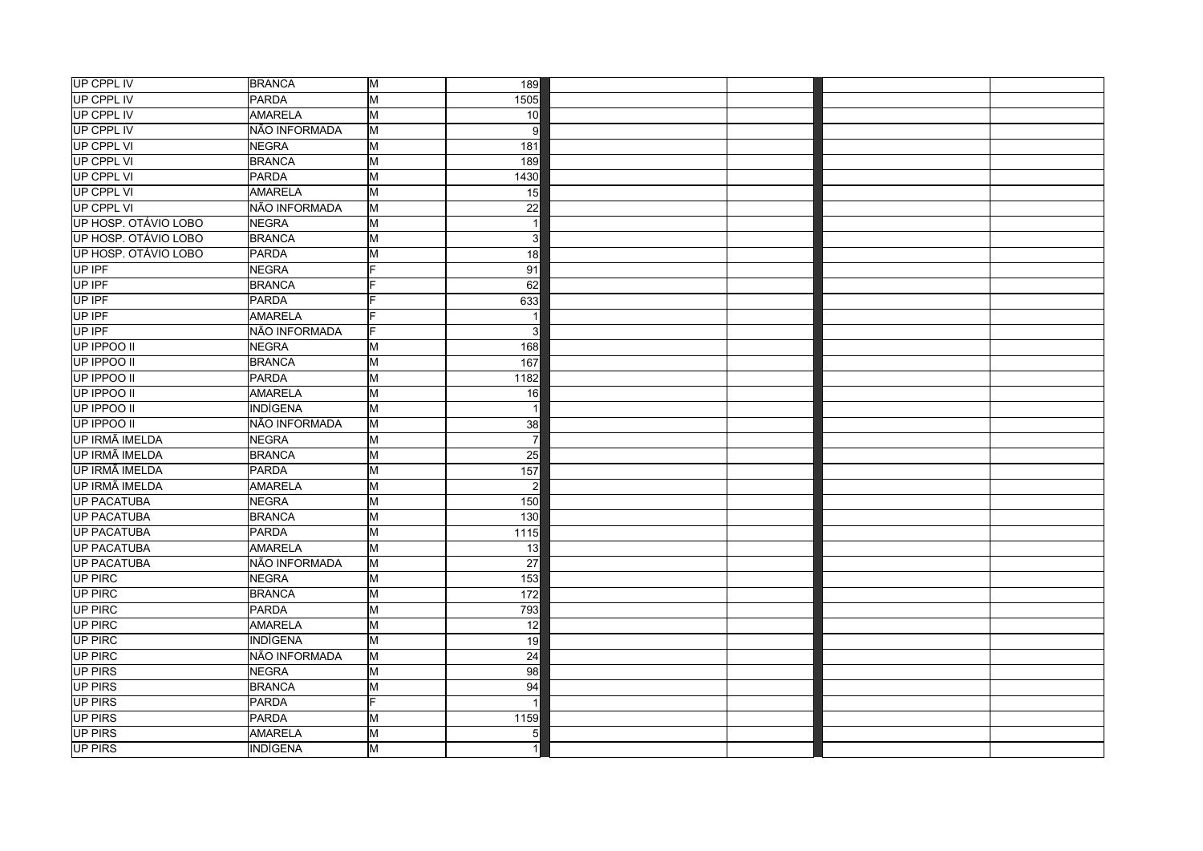| UP CPPL IV            | <b>BRANCA</b>   | M                       | 189                 |  |  |
|-----------------------|-----------------|-------------------------|---------------------|--|--|
| UP CPPL IV            | PARDA           | $\overline{\mathsf{M}}$ | 1505                |  |  |
| UP CPPL IV            | <b>AMARELA</b>  | M                       | 10 <sup>1</sup>     |  |  |
| UP CPPL IV            | NÃO INFORMADA   | $\overline{\mathsf{M}}$ | 9                   |  |  |
| UP CPPL VI            | NEGRA           | M                       | $\overline{181}$    |  |  |
| UP CPPL VI            | <b>BRANCA</b>   | M                       | 189                 |  |  |
| UP CPPL VI            | PARDA           | M                       | 1430                |  |  |
| UP CPPL VI            | AMARELA         | M                       | 15                  |  |  |
| UP CPPL VI            | NÃO INFORMADA   | M                       | $\overline{22}$     |  |  |
| UP HOSP. OTÁVIO LOBO  | NEGRA           | M                       | $\overline{1}$      |  |  |
| UP HOSP. OTÁVIO LOBO  | BRANCA          | $\overline{\mathsf{M}}$ | 3                   |  |  |
| UP HOSP. OTÁVIO LOBO  | PARDA           | M                       | 18                  |  |  |
| UP IPF                | NEGRA           | Ė                       | 91                  |  |  |
| UP IPF                | <b>BRANCA</b>   | E                       | 62                  |  |  |
| UP IPF                | PARDA           | E                       | 633                 |  |  |
| UP IPF                | <b>AMARELA</b>  | E                       |                     |  |  |
| UP IPF                | NÃO INFORMADA   | F                       | 3                   |  |  |
| UP IPPOO II           | NEGRA           | M                       | 168                 |  |  |
| UP IPPOO II           | <b>BRANCA</b>   | M                       | 167                 |  |  |
| UP IPPOO II           | PARDA           | M                       | 1182                |  |  |
| UP IPPOO II           | <b>AMARELA</b>  | $\overline{\mathsf{M}}$ | 16                  |  |  |
| UP IPPOO II           | INDÍGENA        | M                       | -1                  |  |  |
| UP IPPOO II           | NÃO INFORMADA   | lм                      | 38                  |  |  |
| <b>UP IRMÃ IMELDA</b> | <b>NEGRA</b>    | $\overline{\mathsf{M}}$ | $\overline{7}$      |  |  |
| UP IRMÃ IMELDA        | BRANCA          | M                       | 25                  |  |  |
| UP IRMÃ IMELDA        | PARDA           | M                       | $\overline{157}$    |  |  |
| UP IRMÃ IMELDA        | <b>AMARELA</b>  | M                       | $\overline{2}$      |  |  |
| <b>UP PACATUBA</b>    | NEGRA           | M                       | 150                 |  |  |
| UP PACATUBA           | <b>BRANCA</b>   | M                       | 130                 |  |  |
| <b>UP PACATUBA</b>    | PARDA           | M                       | $\frac{1115}{1115}$ |  |  |
| UP PACATUBA           | <b>AMARELA</b>  | $\overline{\mathsf{M}}$ | $\overline{13}$     |  |  |
| <b>UP PACATUBA</b>    | NÃO INFORMADA   | lм                      | $\overline{27}$     |  |  |
| <b>UP PIRC</b>        | NEGRA           | $\overline{\mathsf{M}}$ | $\overline{153}$    |  |  |
| <b>UP PIRC</b>        | <b>BRANCA</b>   | $\overline{\mathsf{M}}$ | $\frac{1}{172}$     |  |  |
| UP PIRC               | PARDA           | M                       | 793                 |  |  |
| UP PIRC               | <b>AMARELA</b>  | M                       | 12                  |  |  |
| UP PIRC               | <b>INDÍGENA</b> | $\overline{\mathsf{M}}$ | 19                  |  |  |
| <b>UP PIRC</b>        | NÃO INFORMADA   | lм                      | 24                  |  |  |
| UP PIRS               | <b>NEGRA</b>    | М                       | $\overline{98}$     |  |  |
| <b>UP PIRS</b>        | BRANCA          | M                       | 94                  |  |  |
| UP PIRS               | PARDA           | F.                      |                     |  |  |
| <b>UP PIRS</b>        | <b>PARDA</b>    | M                       | 1159                |  |  |
| UP PIRS               | AMARELA         | M                       | 5                   |  |  |
| UP PIRS               | INDÍGENA        | M                       |                     |  |  |
|                       |                 |                         |                     |  |  |